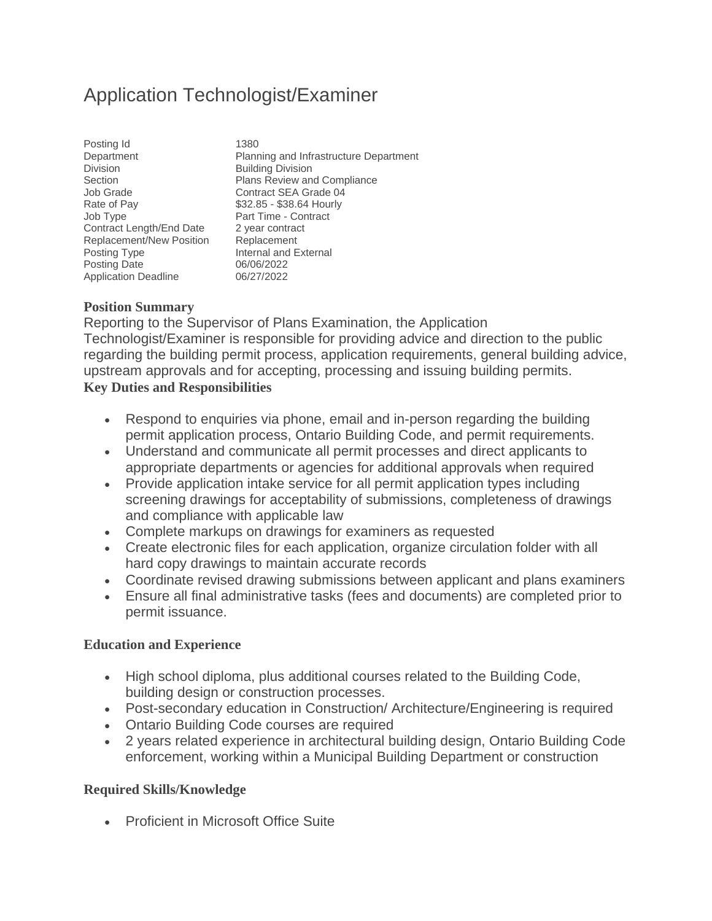## Application Technologist/Examiner

| Posting Id                  | 1380              |
|-----------------------------|-------------------|
| Department                  | Planr             |
| <b>Division</b>             | <b>Build</b>      |
| Section                     | Plans             |
| <b>Job Grade</b>            | Cont              |
| Rate of Pay                 | \$32.8            |
| Job Type                    | Part <sup>:</sup> |
| Contract Length/End Date    | 2 yea             |
| Replacement/New Position    | Repla             |
| Posting Type                | Interr            |
| <b>Posting Date</b>         | 06/06             |
| <b>Application Deadline</b> | 06/27             |

Planning and Infrastructure Department **Building Division** Plans Review and Compliance Contract SEA Grade 04 \$32.85 - \$38.64 Hourly Part Time - Contract 2 year contract Replacement Internal and External 06/06/2022 06/27/2022

## **Position Summary**

Reporting to the Supervisor of Plans Examination, the Application Technologist/Examiner is responsible for providing advice and direction to the public regarding the building permit process, application requirements, general building advice, upstream approvals and for accepting, processing and issuing building permits. **Key Duties and Responsibilities**

- Respond to enquiries via phone, email and in-person regarding the building permit application process, Ontario Building Code, and permit requirements.
- Understand and communicate all permit processes and direct applicants to appropriate departments or agencies for additional approvals when required
- Provide application intake service for all permit application types including screening drawings for acceptability of submissions, completeness of drawings and compliance with applicable law
- Complete markups on drawings for examiners as requested
- Create electronic files for each application, organize circulation folder with all hard copy drawings to maintain accurate records
- Coordinate revised drawing submissions between applicant and plans examiners
- Ensure all final administrative tasks (fees and documents) are completed prior to permit issuance.

## **Education and Experience**

- High school diploma, plus additional courses related to the Building Code, building design or construction processes.
- Post-secondary education in Construction/ Architecture/Engineering is required
- Ontario Building Code courses are required
- 2 years related experience in architectural building design, Ontario Building Code enforcement, working within a Municipal Building Department or construction

## **Required Skills/Knowledge**

• Proficient in Microsoft Office Suite